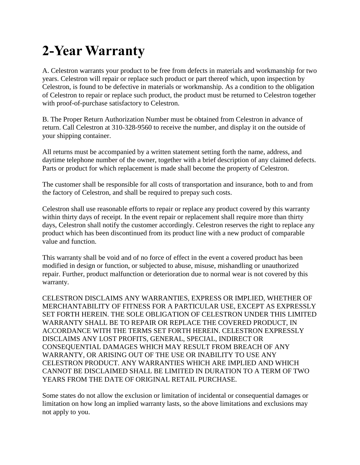## **2-Year Warranty**

A. Celestron warrants your product to be free from defects in materials and workmanship for two years. Celestron will repair or replace such product or part thereof which, upon inspection by Celestron, is found to be defective in materials or workmanship. As a condition to the obligation of Celestron to repair or replace such product, the product must be returned to Celestron together with proof-of-purchase satisfactory to Celestron.

B. The Proper Return Authorization Number must be obtained from Celestron in advance of return. Call Celestron at 310-328-9560 to receive the number, and display it on the outside of your shipping container.

All returns must be accompanied by a written statement setting forth the name, address, and daytime telephone number of the owner, together with a brief description of any claimed defects. Parts or product for which replacement is made shall become the property of Celestron.

The customer shall be responsible for all costs of transportation and insurance, both to and from the factory of Celestron, and shall be required to prepay such costs.

Celestron shall use reasonable efforts to repair or replace any product covered by this warranty within thirty days of receipt. In the event repair or replacement shall require more than thirty days, Celestron shall notify the customer accordingly. Celestron reserves the right to replace any product which has been discontinued from its product line with a new product of comparable value and function.

This warranty shall be void and of no force of effect in the event a covered product has been modified in design or function, or subjected to abuse, misuse, mishandling or unauthorized repair. Further, product malfunction or deterioration due to normal wear is not covered by this warranty.

CELESTRON DISCLAIMS ANY WARRANTIES, EXPRESS OR IMPLIED, WHETHER OF MERCHANTABILITY OF FITNESS FOR A PARTICULAR USE, EXCEPT AS EXPRESSLY SET FORTH HEREIN. THE SOLE OBLIGATION OF CELESTRON UNDER THIS LIMITED WARRANTY SHALL BE TO REPAIR OR REPLACE THE COVERED PRODUCT, IN ACCORDANCE WITH THE TERMS SET FORTH HEREIN. CELESTRON EXPRESSLY DISCLAIMS ANY LOST PROFITS, GENERAL, SPECIAL, INDIRECT OR CONSEQUENTIAL DAMAGES WHICH MAY RESULT FROM BREACH OF ANY WARRANTY, OR ARISING OUT OF THE USE OR INABILITY TO USE ANY CELESTRON PRODUCT. ANY WARRANTIES WHICH ARE IMPLIED AND WHICH CANNOT BE DISCLAIMED SHALL BE LIMITED IN DURATION TO A TERM OF TWO YEARS FROM THE DATE OF ORIGINAL RETAIL PURCHASE.

Some states do not allow the exclusion or limitation of incidental or consequential damages or limitation on how long an implied warranty lasts, so the above limitations and exclusions may not apply to you.